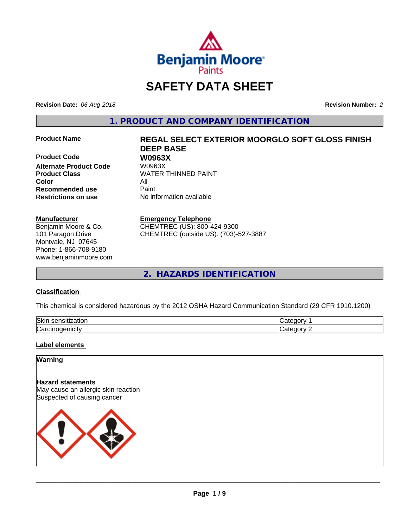

# **SAFETY DATA SHEET**

**Revision Date:** *06-Aug-2018* **Revision Number:** *2*

**1. PRODUCT AND COMPANY IDENTIFICATION**

**Product Code 68 W0963X**<br>Alternate Product Code 68 W0963X **Alternate Product Code Color** All **Recommended use** Paint **Restrictions on use** No information available

#### **Manufacturer**

Benjamin Moore & Co. 101 Paragon Drive Montvale, NJ 07645 Phone: 1-866-708-9180 www.benjaminmoore.com

# **Product Name REGAL SELECT EXTERIOR MOORGLO SOFT GLOSS FINISH DEEP BASE**

**Product Class WATER THINNED PAINT** 

#### **Emergency Telephone**

CHEMTREC (US): 800-424-9300 CHEMTREC (outside US): (703)-527-3887

**2. HAZARDS IDENTIFICATION**

#### **Classification**

This chemical is considered hazardous by the 2012 OSHA Hazard Communication Standard (29 CFR 1910.1200)

| Skir<br>10000111701101<br>llUi<br>יי | .<br>- 11    |
|--------------------------------------|--------------|
| $\sim$<br>.<br>luai.<br>mcitv        | ----<br>- 10 |

### **Label elements**

# **Warning**

**Hazard statements** May cause an allergic skin reaction Suspected of causing cancer

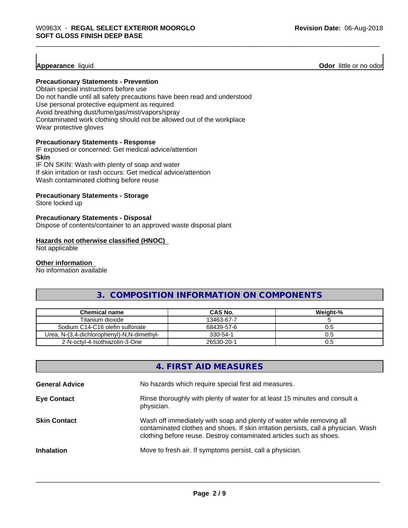**Appearance** liquid **Odor 11 Construction Odor 11 Construction Odor 11 Construction Odor I Construction Odor I Construction Odor I Construction Odor I Construction Odor I Constructio** 

#### **Precautionary Statements - Prevention**

Obtain special instructions before use Do not handle until all safety precautions have been read and understood Use personal protective equipment as required Avoid breathing dust/fume/gas/mist/vapors/spray Contaminated work clothing should not be allowed out of the workplace Wear protective gloves

#### **Precautionary Statements - Response**

IF exposed or concerned: Get medical advice/attention **Skin** IF ON SKIN: Wash with plenty of soap and water If skin irritation or rash occurs: Get medical advice/attention

Wash contaminated clothing before reuse

#### **Precautionary Statements - Storage**

Store locked up

#### **Precautionary Statements - Disposal**

Dispose of contents/container to an approved waste disposal plant

#### **Hazards not otherwise classified (HNOC)**

Not applicable

#### **Other information**

No information available

# **3. COMPOSITION INFORMATION ON COMPONENTS**

| <b>Chemical name</b>                       | CAS No.    | Weight-% |
|--------------------------------------------|------------|----------|
| Titanium dioxide                           | 13463-67-7 |          |
| Sodium C14-C16 olefin sulfonate            | 68439-57-6 | U.5      |
| Urea, N-(3,4-dichlorophenyl)-N,N-dimethyl- | 330-54-1   | U.5      |
| 2-N-octvl-4-Isothiazolin-3-One             | 26530-20-1 | U.5      |

### **4. FIRST AID MEASURES**

| <b>General Advice</b> | No hazards which require special first aid measures.                                                                                                                                                                                |
|-----------------------|-------------------------------------------------------------------------------------------------------------------------------------------------------------------------------------------------------------------------------------|
| <b>Eye Contact</b>    | Rinse thoroughly with plenty of water for at least 15 minutes and consult a<br>physician.                                                                                                                                           |
| <b>Skin Contact</b>   | Wash off immediately with soap and plenty of water while removing all<br>contaminated clothes and shoes. If skin irritation persists, call a physician. Wash<br>clothing before reuse. Destroy contaminated articles such as shoes. |
| <b>Inhalation</b>     | Move to fresh air. If symptoms persist, call a physician.                                                                                                                                                                           |
|                       |                                                                                                                                                                                                                                     |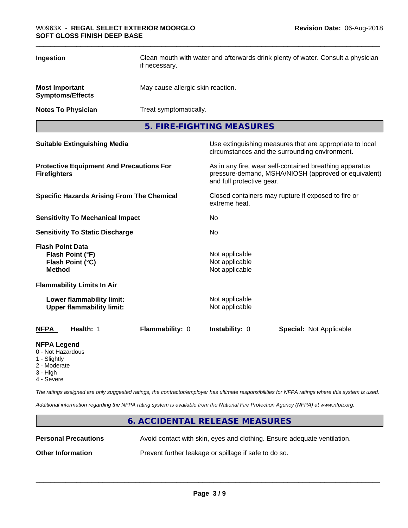### \_\_\_\_\_\_\_\_\_\_\_\_\_\_\_\_\_\_\_\_\_\_\_\_\_\_\_\_\_\_\_\_\_\_\_\_\_\_\_\_\_\_\_\_\_\_\_\_\_\_\_\_\_\_\_\_\_\_\_\_\_\_\_\_\_\_\_\_\_\_\_\_\_\_\_\_\_\_\_\_\_\_\_\_\_\_\_\_\_\_\_\_\_ W0963X - **REGAL SELECT EXTERIOR MOORGLO SOFT GLOSS FINISH DEEP BASE**

| Ingestion                                                                        |                                                               | Clean mouth with water and afterwards drink plenty of water. Consult a physician<br>if necessary.                                            |                                                    |                                |
|----------------------------------------------------------------------------------|---------------------------------------------------------------|----------------------------------------------------------------------------------------------------------------------------------------------|----------------------------------------------------|--------------------------------|
| <b>Most Important</b><br><b>Symptoms/Effects</b>                                 |                                                               | May cause allergic skin reaction.                                                                                                            |                                                    |                                |
| <b>Notes To Physician</b>                                                        |                                                               | Treat symptomatically.                                                                                                                       |                                                    |                                |
|                                                                                  |                                                               |                                                                                                                                              | 5. FIRE-FIGHTING MEASURES                          |                                |
| <b>Suitable Extinguishing Media</b>                                              |                                                               | Use extinguishing measures that are appropriate to local<br>circumstances and the surrounding environment.                                   |                                                    |                                |
| <b>Protective Equipment And Precautions For</b><br><b>Firefighters</b>           |                                                               | As in any fire, wear self-contained breathing apparatus<br>pressure-demand, MSHA/NIOSH (approved or equivalent)<br>and full protective gear. |                                                    |                                |
| <b>Specific Hazards Arising From The Chemical</b>                                |                                                               | Closed containers may rupture if exposed to fire or<br>extreme heat.                                                                         |                                                    |                                |
| <b>Sensitivity To Mechanical Impact</b>                                          |                                                               | No                                                                                                                                           |                                                    |                                |
|                                                                                  | <b>Sensitivity To Static Discharge</b>                        |                                                                                                                                              | No                                                 |                                |
| <b>Flash Point Data</b><br>Flash Point (°F)<br>Flash Point (°C)<br><b>Method</b> |                                                               |                                                                                                                                              | Not applicable<br>Not applicable<br>Not applicable |                                |
| <b>Flammability Limits In Air</b>                                                |                                                               |                                                                                                                                              |                                                    |                                |
|                                                                                  | Lower flammability limit:<br><b>Upper flammability limit:</b> |                                                                                                                                              | Not applicable<br>Not applicable                   |                                |
| <b>NFPA</b>                                                                      | Health: 1                                                     | Flammability: 0                                                                                                                              | Instability: 0                                     | <b>Special: Not Applicable</b> |
| <b>NFPA Legend</b><br>0 - Not Hazardous<br>1 - Slightly<br>2 - Moderate          |                                                               |                                                                                                                                              |                                                    |                                |

3 - High 4 - Severe

*The ratings assigned are only suggested ratings, the contractor/employer has ultimate responsibilities for NFPA ratings where this system is used.*

*Additional information regarding the NFPA rating system is available from the National Fire Protection Agency (NFPA) at www.nfpa.org.*

# **6. ACCIDENTAL RELEASE MEASURES**

**Personal Precautions** Avoid contact with skin, eyes and clothing. Ensure adequate ventilation.

 $\overline{\phantom{a}}$  ,  $\overline{\phantom{a}}$  ,  $\overline{\phantom{a}}$  ,  $\overline{\phantom{a}}$  ,  $\overline{\phantom{a}}$  ,  $\overline{\phantom{a}}$  ,  $\overline{\phantom{a}}$  ,  $\overline{\phantom{a}}$  ,  $\overline{\phantom{a}}$  ,  $\overline{\phantom{a}}$  ,  $\overline{\phantom{a}}$  ,  $\overline{\phantom{a}}$  ,  $\overline{\phantom{a}}$  ,  $\overline{\phantom{a}}$  ,  $\overline{\phantom{a}}$  ,  $\overline{\phantom{a}}$ 

**Other Information** Prevent further leakage or spillage if safe to do so.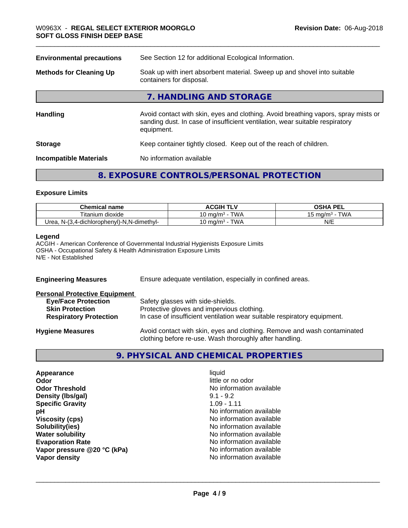| <b>Environmental precautions</b> | See Section 12 for additional Ecological Information.                                                                                                                            |  |
|----------------------------------|----------------------------------------------------------------------------------------------------------------------------------------------------------------------------------|--|
| <b>Methods for Cleaning Up</b>   | Soak up with inert absorbent material. Sweep up and shovel into suitable<br>containers for disposal.                                                                             |  |
|                                  | 7. HANDLING AND STORAGE                                                                                                                                                          |  |
| <b>Handling</b>                  | Avoid contact with skin, eyes and clothing. Avoid breathing vapors, spray mists or<br>sanding dust. In case of insufficient ventilation, wear suitable respiratory<br>equipment. |  |
| <b>Storage</b>                   | Keep container tightly closed. Keep out of the reach of children.                                                                                                                |  |
| <b>Incompatible Materials</b>    | No information available                                                                                                                                                         |  |
|                                  |                                                                                                                                                                                  |  |

# **8. EXPOSURE CONTROLS/PERSONAL PROTECTION**

#### **Exposure Limits**

| <b>Chemical</b><br>ˈ name                                        | <b>ACGIH TLV</b>                                    | DEI<br>OSHA<br>-- |
|------------------------------------------------------------------|-----------------------------------------------------|-------------------|
| Titanium<br>dioxide                                              | <b>TWA</b><br>MQ/m <sup>3</sup> ∪ m                 | TM/A<br>™ma/m∘    |
| -N.N-dimethvl، <b>.</b><br>-dichlorophenvl)-N.<br>Jrea, N-<br>-4 | <b>TWA</b><br>MQ/m <sup>3</sup> ∪ m<br><b>v</b> v / | N/E               |

#### **Legend**

ACGIH - American Conference of Governmental Industrial Hygienists Exposure Limits OSHA - Occupational Safety & Health Administration Exposure Limits N/E - Not Established

| <b>Engineering Measures</b>                                                                                                   | Ensure adequate ventilation, especially in confined areas.                                                                                                  |  |
|-------------------------------------------------------------------------------------------------------------------------------|-------------------------------------------------------------------------------------------------------------------------------------------------------------|--|
| <b>Personal Protective Equipment</b><br><b>Eye/Face Protection</b><br><b>Skin Protection</b><br><b>Respiratory Protection</b> | Safety glasses with side-shields.<br>Protective gloves and impervious clothing.<br>In case of insufficient ventilation wear suitable respiratory equipment. |  |
| <b>Hygiene Measures</b>                                                                                                       | Avoid contact with skin, eyes and clothing. Remove and wash contaminated<br>clothing before re-use. Wash thoroughly after handling.                         |  |

# **9. PHYSICAL AND CHEMICAL PROPERTIES**

| Appearance                  | liquid                   |
|-----------------------------|--------------------------|
| Odor                        | little or no odor        |
| <b>Odor Threshold</b>       | No information available |
| Density (Ibs/gal)           | $9.1 - 9.2$              |
| <b>Specific Gravity</b>     | $1.09 - 1.11$            |
| рH                          | No information available |
| <b>Viscosity (cps)</b>      | No information available |
| Solubility(ies)             | No information available |
| <b>Water solubility</b>     | No information available |
| <b>Evaporation Rate</b>     | No information available |
| Vapor pressure @20 °C (kPa) | No information available |
| Vapor density               | No information available |
|                             |                          |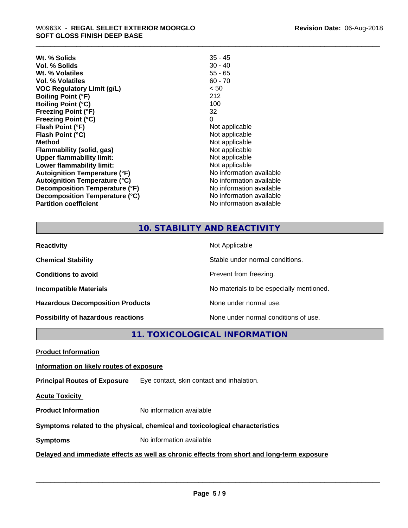| Wt. % Solids                         | $35 - 45$                |
|--------------------------------------|--------------------------|
| Vol. % Solids                        | $30 - 40$                |
| Wt. % Volatiles                      | $55 - 65$                |
| Vol. % Volatiles                     | $60 - 70$                |
| VOC Regulatory Limit (g/L)           | < 50                     |
| <b>Boiling Point (°F)</b>            | 212                      |
| <b>Boiling Point (°C)</b>            | 100                      |
| <b>Freezing Point (°F)</b>           | 32                       |
| <b>Freezing Point (°C)</b>           | 0                        |
| Flash Point (°F)                     | Not applicable           |
| Flash Point (°C)                     | Not applicable           |
| <b>Method</b>                        | Not applicable           |
| Flammability (solid, gas)            | Not applicable           |
| <b>Upper flammability limit:</b>     | Not applicable           |
| Lower flammability limit:            | Not applicable           |
| <b>Autoignition Temperature (°F)</b> | No information available |
| <b>Autoignition Temperature (°C)</b> | No information available |
| Decomposition Temperature (°F)       | No information available |
| Decomposition Temperature (°C)       | No information available |
| <b>Partition coefficient</b>         | No information available |

# **10. STABILITY AND REACTIVITY**

| <b>Reactivity</b>                       | Not Applicable                           |
|-----------------------------------------|------------------------------------------|
| <b>Chemical Stability</b>               | Stable under normal conditions.          |
| <b>Conditions to avoid</b>              | Prevent from freezing.                   |
| <b>Incompatible Materials</b>           | No materials to be especially mentioned. |
| <b>Hazardous Decomposition Products</b> | None under normal use.                   |
| Possibility of hazardous reactions      | None under normal conditions of use.     |

**11. TOXICOLOGICAL INFORMATION**

**Product Information**

#### **Information on likely routes of exposure**

**Principal Routes of Exposure** Eye contact, skin contact and inhalation.

**Acute Toxicity** 

**Product Information** No information available

# **Symptoms** related to the physical, chemical and toxicological characteristics

**Symptoms** No information available

# **Delayed and immediate effects as well as chronic effects from short and long-term exposure**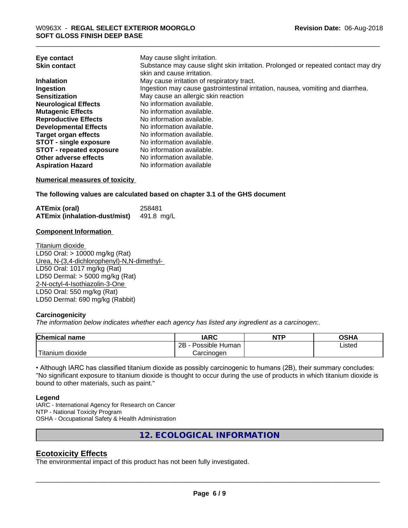| Eye contact                     | May cause slight irritation.                                                      |
|---------------------------------|-----------------------------------------------------------------------------------|
| <b>Skin contact</b>             | Substance may cause slight skin irritation. Prolonged or repeated contact may dry |
|                                 | skin and cause irritation.                                                        |
| <b>Inhalation</b>               | May cause irritation of respiratory tract.                                        |
| Ingestion                       | Ingestion may cause gastrointestinal irritation, nausea, vomiting and diarrhea.   |
| <b>Sensitization</b>            | May cause an allergic skin reaction                                               |
| <b>Neurological Effects</b>     | No information available.                                                         |
| <b>Mutagenic Effects</b>        | No information available.                                                         |
| <b>Reproductive Effects</b>     | No information available.                                                         |
| <b>Developmental Effects</b>    | No information available.                                                         |
| <b>Target organ effects</b>     | No information available.                                                         |
| <b>STOT - single exposure</b>   | No information available.                                                         |
| <b>STOT - repeated exposure</b> | No information available.                                                         |
| Other adverse effects           | No information available.                                                         |
| <b>Aspiration Hazard</b>        | No information available                                                          |

#### **Numerical measures of toxicity**

**The following values are calculated based on chapter 3.1 of the GHS document**

| <b>ATEmix (oral)</b>                 | 258481     |
|--------------------------------------|------------|
| <b>ATEmix (inhalation-dust/mist)</b> | 491.8 mg/L |

#### **Component Information**

Titanium dioxide LD50 Oral: > 10000 mg/kg (Rat) Urea, N-(3,4-dichlorophenyl)-N,N-dimethyl- LD50 Oral: 1017 mg/kg (Rat) LD50 Dermal: > 5000 mg/kg (Rat) 2-N-octyl-4-Isothiazolin-3-One LD50 Oral: 550 mg/kg (Rat) LD50 Dermal: 690 mg/kg (Rabbit)

#### **Carcinogenicity**

*The information below indicateswhether each agency has listed any ingredient as a carcinogen:.*

| <b>Chemical name</b>              | <b>IARC</b>                    | <b>NTP</b> | ດເ⊔າ<br>שרט |
|-----------------------------------|--------------------------------|------------|-------------|
|                                   | .<br>2B<br>: Human<br>Possible |            | Listed      |
| $-1$<br>dioxide<br><b>itanium</b> | Carcinogen                     |            |             |

• Although IARC has classified titanium dioxide as possibly carcinogenic to humans (2B), their summary concludes: "No significant exposure to titanium dioxide is thought to occur during the use of products in which titanium dioxide is bound to other materials, such as paint."

#### **Legend**

IARC - International Agency for Research on Cancer NTP - National Toxicity Program OSHA - Occupational Safety & Health Administration

**12. ECOLOGICAL INFORMATION**

# **Ecotoxicity Effects**

The environmental impact of this product has not been fully investigated.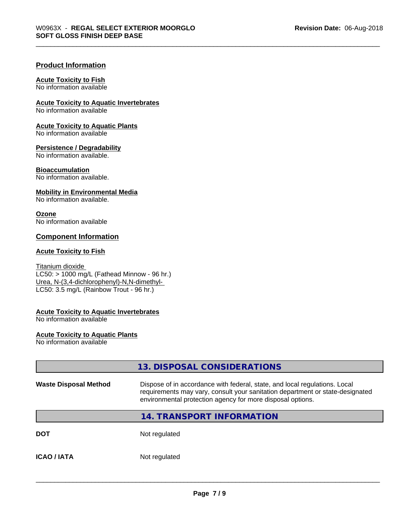#### **Product Information**

#### **Acute Toxicity to Fish**

No information available

**Acute Toxicity to Aquatic Invertebrates**

No information available

**Acute Toxicity to Aquatic Plants** No information available

### **Persistence / Degradability**

No information available.

#### **Bioaccumulation**

No information available.

#### **Mobility in Environmental Media**

No information available.

#### **Ozone**

No information available

### **Component Information**

#### **Acute Toxicity to Fish**

Titanium dioxide  $\overline{\text{LC50:}}$  > 1000 mg/L (Fathead Minnow - 96 hr.) Urea, N-(3,4-dichlorophenyl)-N,N-dimethyl- LC50: 3.5 mg/L (Rainbow Trout - 96 hr.)

#### **Acute Toxicity to Aquatic Invertebrates**

No information available

#### **Acute Toxicity to Aquatic Plants**

No information available

|                              | 13. DISPOSAL CONSIDERATIONS                                                                                                                                                                                               |
|------------------------------|---------------------------------------------------------------------------------------------------------------------------------------------------------------------------------------------------------------------------|
| <b>Waste Disposal Method</b> | Dispose of in accordance with federal, state, and local regulations. Local<br>requirements may vary, consult your sanitation department or state-designated<br>environmental protection agency for more disposal options. |
|                              | 14. TRANSPORT INFORMATION                                                                                                                                                                                                 |
| <b>DOT</b>                   | Not regulated                                                                                                                                                                                                             |
| <b>ICAO/IATA</b>             | Not regulated                                                                                                                                                                                                             |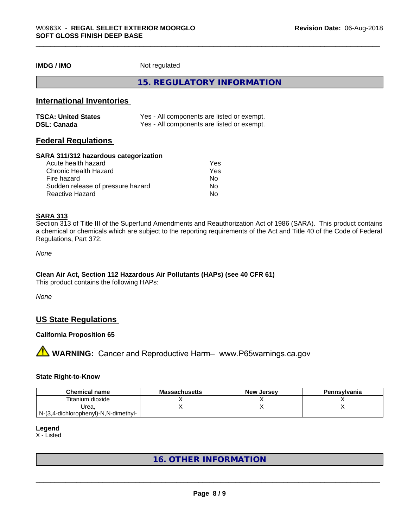**IMDG / IMO** Not regulated

**15. REGULATORY INFORMATION**

## **International Inventories**

| <b>TSCA: United States</b> | Yes - All components are listed or exempt. |
|----------------------------|--------------------------------------------|
| <b>DSL: Canada</b>         | Yes - All components are listed or exempt. |

# **Federal Regulations**

#### **SARA 311/312 hazardous categorization**

| Acute health hazard               | Yes |  |
|-----------------------------------|-----|--|
| Chronic Health Hazard             | Yes |  |
| Fire hazard                       | N٥  |  |
| Sudden release of pressure hazard | Nο  |  |
| Reactive Hazard                   | Nο  |  |

### **SARA 313**

Section 313 of Title III of the Superfund Amendments and Reauthorization Act of 1986 (SARA). This product contains a chemical or chemicals which are subject to the reporting requirements of the Act and Title 40 of the Code of Federal Regulations, Part 372:

*None*

#### **Clean Air Act,Section 112 Hazardous Air Pollutants (HAPs) (see 40 CFR 61)**

This product contains the following HAPs:

*None*

### **US State Regulations**

#### **California Proposition 65**

**A** WARNING: Cancer and Reproductive Harm– www.P65warnings.ca.gov

#### **State Right-to-Know**

| <b>Chemical name</b>                 | <b>Massachusetts</b> | <b>New Jersey</b> | Pennsylvania |
|--------------------------------------|----------------------|-------------------|--------------|
| Titanium dioxide                     |                      |                   |              |
| Urea,                                |                      |                   |              |
| N-(3,4-dichlorophenyl)-N,N-dimethyl- |                      |                   |              |

#### **Legend**

X - Listed

# **16. OTHER INFORMATION**